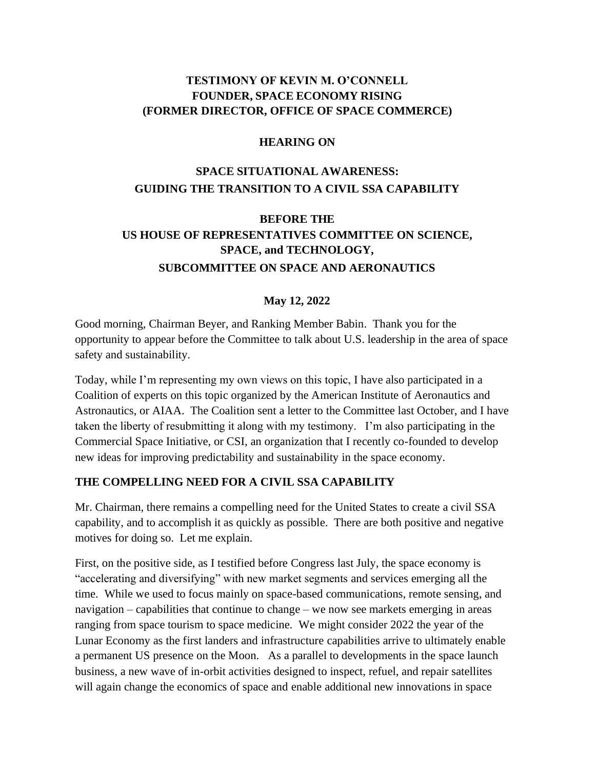# **TESTIMONY OF KEVIN M. O'CONNELL FOUNDER, SPACE ECONOMY RISING (FORMER DIRECTOR, OFFICE OF SPACE COMMERCE)**

#### **HEARING ON**

# **SPACE SITUATIONAL AWARENESS: GUIDING THE TRANSITION TO A CIVIL SSA CAPABILITY**

# **BEFORE THE US HOUSE OF REPRESENTATIVES COMMITTEE ON SCIENCE, SPACE, and TECHNOLOGY, SUBCOMMITTEE ON SPACE AND AERONAUTICS**

#### **May 12, 2022**

Good morning, Chairman Beyer, and Ranking Member Babin. Thank you for the opportunity to appear before the Committee to talk about U.S. leadership in the area of space safety and sustainability.

Today, while I'm representing my own views on this topic, I have also participated in a Coalition of experts on this topic organized by the American Institute of Aeronautics and Astronautics, or AIAA. The Coalition sent a letter to the Committee last October, and I have taken the liberty of resubmitting it along with my testimony. I'm also participating in the Commercial Space Initiative, or CSI, an organization that I recently co-founded to develop new ideas for improving predictability and sustainability in the space economy.

#### **THE COMPELLING NEED FOR A CIVIL SSA CAPABILITY**

Mr. Chairman, there remains a compelling need for the United States to create a civil SSA capability, and to accomplish it as quickly as possible. There are both positive and negative motives for doing so. Let me explain.

First, on the positive side, as I testified before Congress last July, the space economy is "accelerating and diversifying" with new market segments and services emerging all the time. While we used to focus mainly on space-based communications, remote sensing, and navigation – capabilities that continue to change – we now see markets emerging in areas ranging from space tourism to space medicine. We might consider 2022 the year of the Lunar Economy as the first landers and infrastructure capabilities arrive to ultimately enable a permanent US presence on the Moon. As a parallel to developments in the space launch business, a new wave of in-orbit activities designed to inspect, refuel, and repair satellites will again change the economics of space and enable additional new innovations in space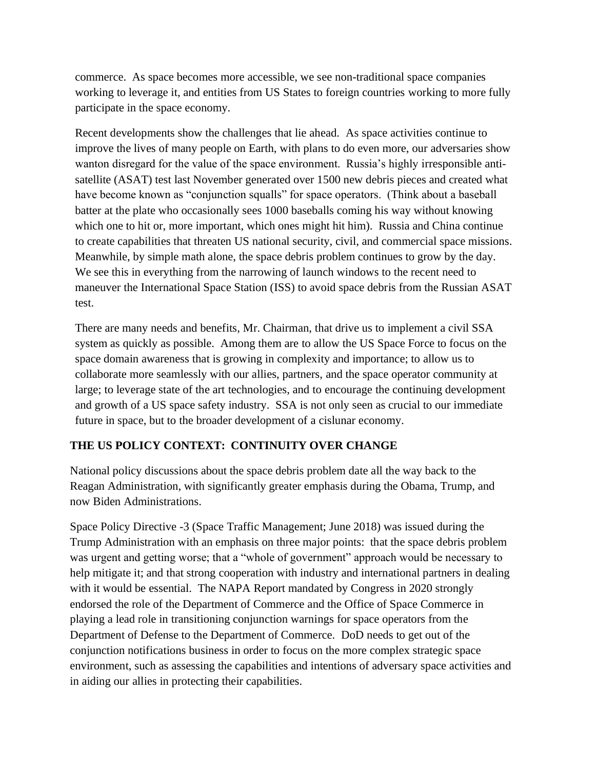commerce. As space becomes more accessible, we see non-traditional space companies working to leverage it, and entities from US States to foreign countries working to more fully participate in the space economy.

Recent developments show the challenges that lie ahead. As space activities continue to improve the lives of many people on Earth, with plans to do even more, our adversaries show wanton disregard for the value of the space environment. Russia's highly irresponsible antisatellite (ASAT) test last November generated over 1500 new debris pieces and created what have become known as "conjunction squalls" for space operators. (Think about a baseball batter at the plate who occasionally sees 1000 baseballs coming his way without knowing which one to hit or, more important, which ones might hit him). Russia and China continue to create capabilities that threaten US national security, civil, and commercial space missions. Meanwhile, by simple math alone, the space debris problem continues to grow by the day. We see this in everything from the narrowing of launch windows to the recent need to maneuver the International Space Station (ISS) to avoid space debris from the Russian ASAT test.

There are many needs and benefits, Mr. Chairman, that drive us to implement a civil SSA system as quickly as possible. Among them are to allow the US Space Force to focus on the space domain awareness that is growing in complexity and importance; to allow us to collaborate more seamlessly with our allies, partners, and the space operator community at large; to leverage state of the art technologies, and to encourage the continuing development and growth of a US space safety industry. SSA is not only seen as crucial to our immediate future in space, but to the broader development of a cislunar economy.

# **THE US POLICY CONTEXT: CONTINUITY OVER CHANGE**

National policy discussions about the space debris problem date all the way back to the Reagan Administration, with significantly greater emphasis during the Obama, Trump, and now Biden Administrations.

Space Policy Directive -3 (Space Traffic Management; June 2018) was issued during the Trump Administration with an emphasis on three major points: that the space debris problem was urgent and getting worse; that a "whole of government" approach would be necessary to help mitigate it; and that strong cooperation with industry and international partners in dealing with it would be essential. The NAPA Report mandated by Congress in 2020 strongly endorsed the role of the Department of Commerce and the Office of Space Commerce in playing a lead role in transitioning conjunction warnings for space operators from the Department of Defense to the Department of Commerce. DoD needs to get out of the conjunction notifications business in order to focus on the more complex strategic space environment, such as assessing the capabilities and intentions of adversary space activities and in aiding our allies in protecting their capabilities.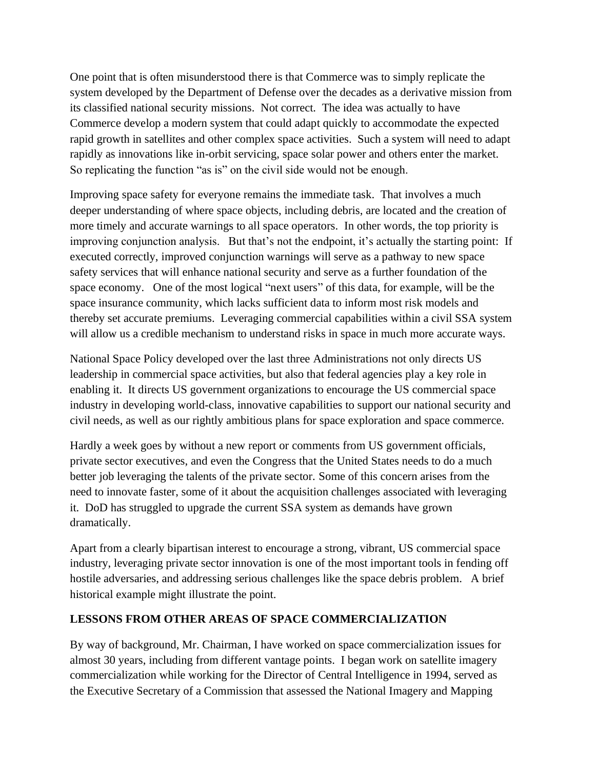One point that is often misunderstood there is that Commerce was to simply replicate the system developed by the Department of Defense over the decades as a derivative mission from its classified national security missions. Not correct. The idea was actually to have Commerce develop a modern system that could adapt quickly to accommodate the expected rapid growth in satellites and other complex space activities. Such a system will need to adapt rapidly as innovations like in-orbit servicing, space solar power and others enter the market. So replicating the function "as is" on the civil side would not be enough.

Improving space safety for everyone remains the immediate task. That involves a much deeper understanding of where space objects, including debris, are located and the creation of more timely and accurate warnings to all space operators. In other words, the top priority is improving conjunction analysis. But that's not the endpoint, it's actually the starting point: If executed correctly, improved conjunction warnings will serve as a pathway to new space safety services that will enhance national security and serve as a further foundation of the space economy. One of the most logical "next users" of this data, for example, will be the space insurance community, which lacks sufficient data to inform most risk models and thereby set accurate premiums. Leveraging commercial capabilities within a civil SSA system will allow us a credible mechanism to understand risks in space in much more accurate ways.

National Space Policy developed over the last three Administrations not only directs US leadership in commercial space activities, but also that federal agencies play a key role in enabling it. It directs US government organizations to encourage the US commercial space industry in developing world-class, innovative capabilities to support our national security and civil needs, as well as our rightly ambitious plans for space exploration and space commerce.

Hardly a week goes by without a new report or comments from US government officials, private sector executives, and even the Congress that the United States needs to do a much better job leveraging the talents of the private sector. Some of this concern arises from the need to innovate faster, some of it about the acquisition challenges associated with leveraging it. DoD has struggled to upgrade the current SSA system as demands have grown dramatically.

Apart from a clearly bipartisan interest to encourage a strong, vibrant, US commercial space industry, leveraging private sector innovation is one of the most important tools in fending off hostile adversaries, and addressing serious challenges like the space debris problem. A brief historical example might illustrate the point.

### **LESSONS FROM OTHER AREAS OF SPACE COMMERCIALIZATION**

By way of background, Mr. Chairman, I have worked on space commercialization issues for almost 30 years, including from different vantage points. I began work on satellite imagery commercialization while working for the Director of Central Intelligence in 1994, served as the Executive Secretary of a Commission that assessed the National Imagery and Mapping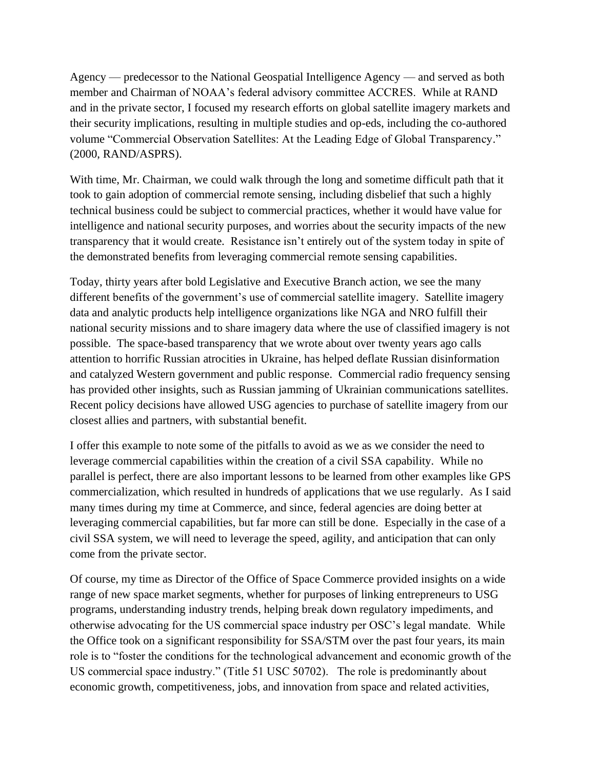Agency — predecessor to the National Geospatial Intelligence Agency — and served as both member and Chairman of NOAA's federal advisory committee ACCRES. While at RAND and in the private sector, I focused my research efforts on global satellite imagery markets and their security implications, resulting in multiple studies and op-eds, including the co-authored volume "Commercial Observation Satellites: At the Leading Edge of Global Transparency." (2000, RAND/ASPRS).

With time, Mr. Chairman, we could walk through the long and sometime difficult path that it took to gain adoption of commercial remote sensing, including disbelief that such a highly technical business could be subject to commercial practices, whether it would have value for intelligence and national security purposes, and worries about the security impacts of the new transparency that it would create. Resistance isn't entirely out of the system today in spite of the demonstrated benefits from leveraging commercial remote sensing capabilities.

Today, thirty years after bold Legislative and Executive Branch action, we see the many different benefits of the government's use of commercial satellite imagery. Satellite imagery data and analytic products help intelligence organizations like NGA and NRO fulfill their national security missions and to share imagery data where the use of classified imagery is not possible. The space-based transparency that we wrote about over twenty years ago calls attention to horrific Russian atrocities in Ukraine, has helped deflate Russian disinformation and catalyzed Western government and public response. Commercial radio frequency sensing has provided other insights, such as Russian jamming of Ukrainian communications satellites. Recent policy decisions have allowed USG agencies to purchase of satellite imagery from our closest allies and partners, with substantial benefit.

I offer this example to note some of the pitfalls to avoid as we as we consider the need to leverage commercial capabilities within the creation of a civil SSA capability. While no parallel is perfect, there are also important lessons to be learned from other examples like GPS commercialization, which resulted in hundreds of applications that we use regularly. As I said many times during my time at Commerce, and since, federal agencies are doing better at leveraging commercial capabilities, but far more can still be done. Especially in the case of a civil SSA system, we will need to leverage the speed, agility, and anticipation that can only come from the private sector.

Of course, my time as Director of the Office of Space Commerce provided insights on a wide range of new space market segments, whether for purposes of linking entrepreneurs to USG programs, understanding industry trends, helping break down regulatory impediments, and otherwise advocating for the US commercial space industry per OSC's legal mandate. While the Office took on a significant responsibility for SSA/STM over the past four years, its main role is to "foster the conditions for the technological advancement and economic growth of the US commercial space industry." (Title 51 USC 50702). The role is predominantly about economic growth, competitiveness, jobs, and innovation from space and related activities,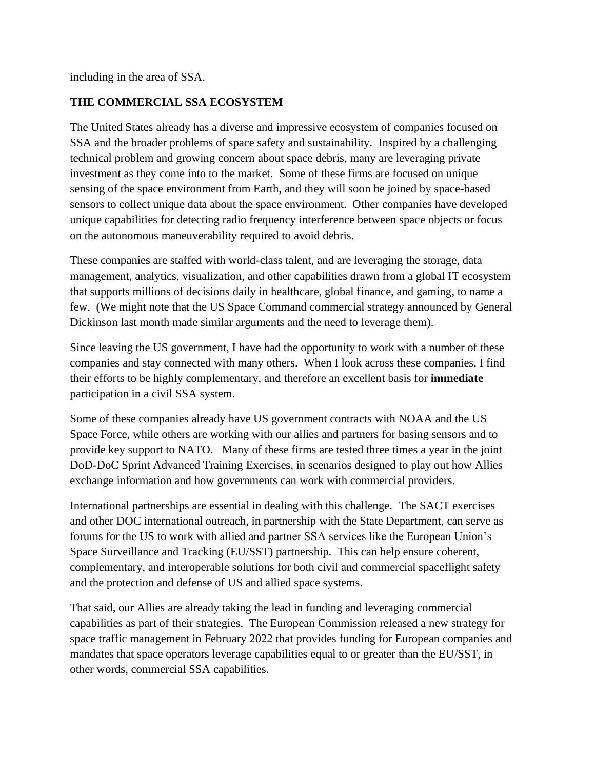including in the area of SSA.

## **THE COMMERCIAL SSA ECOSYSTEM**

The United States already has a diverse and impressive ecosystem of companies focused on SSA and the broader problems of space safety and sustainability. Inspired by a challenging technical problem and growing concern about space debris, many are leveraging private investment as they come into to the market. Some of these firms are focused on unique sensing of the space environment from Earth, and they will soon be joined by space-based sensors to collect unique data about the space environment. Other companies have developed unique capabilities for detecting radio frequency interference between space objects or focus on the autonomous maneuverability required to avoid debris.

These companies are staffed with world-class talent, and are leveraging the storage, data management, analytics, visualization, and other capabilities drawn from a global IT ecosystem that supports millions of decisions daily in healthcare, global finance, and gaming, to name a few. (We might note that the US Space Command commercial strategy announced by General Dickinson last month made similar arguments and the need to leverage them).

Since leaving the US government, I have had the opportunity to work with a number of these companies and stay connected with many others. When I look across these companies, I find their efforts to be highly complementary, and therefore an excellent basis for **immediate** participation in a civil SSA system.

Some of these companies already have US government contracts with NOAA and the US Space Force, while others are working with our allies and partners for basing sensors and to provide key support to NATO. Many of these firms are tested three times a year in the joint DoD-DoC Sprint Advanced Training Exercises, in scenarios designed to play out how Allies exchange information and how governments can work with commercial providers.

International partnerships are essential in dealing with this challenge. The SACT exercises and other DOC international outreach, in partnership with the State Department, can serve as forums for the US to work with allied and partner SSA services like the European Union's Space Surveillance and Tracking (EU/SST) partnership. This can help ensure coherent, complementary, and interoperable solutions for both civil and commercial spaceflight safety and the protection and defense of US and allied space systems.

That said, our Allies are already taking the lead in funding and leveraging commercial capabilities as part of their strategies. The European Commission released a new strategy for space traffic management in February 2022 that provides funding for European companies and mandates that space operators leverage capabilities equal to or greater than the EU/SST, in other words, commercial SSA capabilities.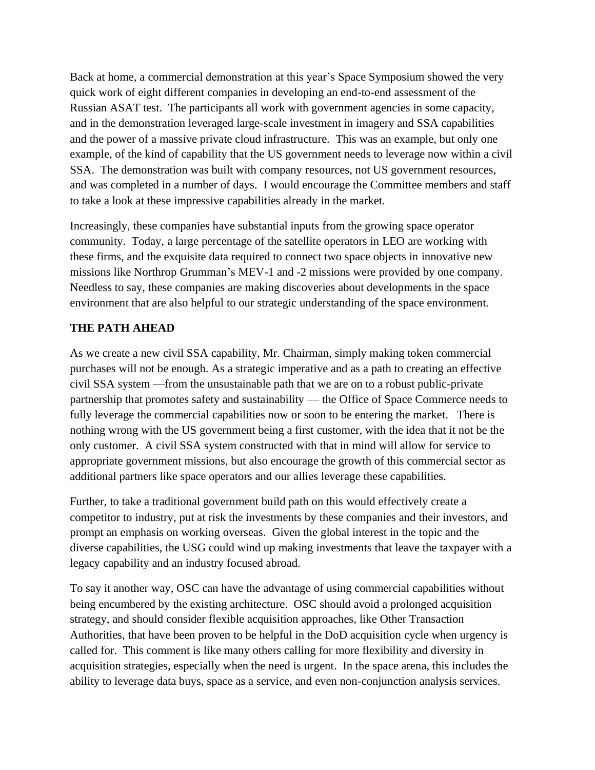Back at home, a commercial demonstration at this year's Space Symposium showed the very quick work of eight different companies in developing an end-to-end assessment of the Russian ASAT test. The participants all work with government agencies in some capacity, and in the demonstration leveraged large-scale investment in imagery and SSA capabilities and the power of a massive private cloud infrastructure. This was an example, but only one example, of the kind of capability that the US government needs to leverage now within a civil SSA. The demonstration was built with company resources, not US government resources, and was completed in a number of days. I would encourage the Committee members and staff to take a look at these impressive capabilities already in the market.

Increasingly, these companies have substantial inputs from the growing space operator community. Today, a large percentage of the satellite operators in LEO are working with these firms, and the exquisite data required to connect two space objects in innovative new missions like Northrop Grumman's MEV-1 and -2 missions were provided by one company. Needless to say, these companies are making discoveries about developments in the space environment that are also helpful to our strategic understanding of the space environment.

### **THE PATH AHEAD**

As we create a new civil SSA capability, Mr. Chairman, simply making token commercial purchases will not be enough. As a strategic imperative and as a path to creating an effective civil SSA system —from the unsustainable path that we are on to a robust public-private partnership that promotes safety and sustainability — the Office of Space Commerce needs to fully leverage the commercial capabilities now or soon to be entering the market. There is nothing wrong with the US government being a first customer, with the idea that it not be the only customer. A civil SSA system constructed with that in mind will allow for service to appropriate government missions, but also encourage the growth of this commercial sector as additional partners like space operators and our allies leverage these capabilities.

Further, to take a traditional government build path on this would effectively create a competitor to industry, put at risk the investments by these companies and their investors, and prompt an emphasis on working overseas. Given the global interest in the topic and the diverse capabilities, the USG could wind up making investments that leave the taxpayer with a legacy capability and an industry focused abroad.

To say it another way, OSC can have the advantage of using commercial capabilities without being encumbered by the existing architecture. OSC should avoid a prolonged acquisition strategy, and should consider flexible acquisition approaches, like Other Transaction Authorities, that have been proven to be helpful in the DoD acquisition cycle when urgency is called for. This comment is like many others calling for more flexibility and diversity in acquisition strategies, especially when the need is urgent. In the space arena, this includes the ability to leverage data buys, space as a service, and even non-conjunction analysis services.